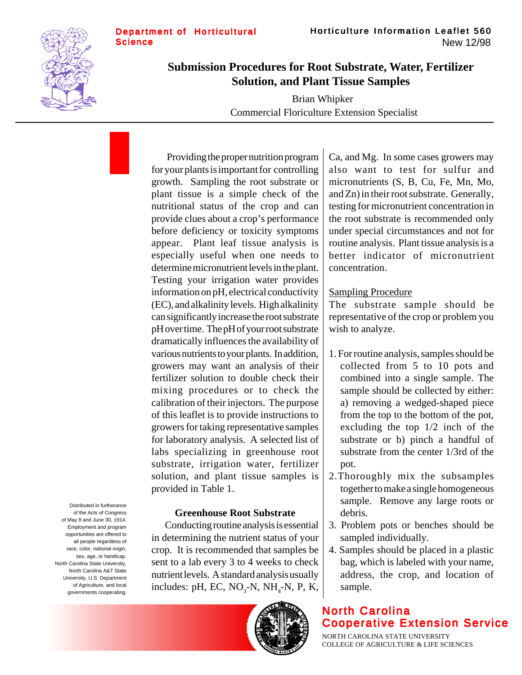



# **Submission Procedures for Root Substrate, Water, Fertilizer Solution, and Plant Tissue Samples**

Brian Whipker Commercial Floriculture Extension Specialist

Providing the proper nutrition program for your plants is important for controlling growth. Sampling the root substrate or plant tissue is a simple check of the nutritional status of the crop and can provide clues about a crop's performance before deficiency or toxicity symptoms appear. Plant leaf tissue analysis is especially useful when one needs to determine micronutrient levels in the plant. Testing your irrigation water provides information on pH, electrical conductivity (EC), and alkalinity levels. High alkalinity can significantly increase the root substrate pH over time. The pH of your root substrate dramatically influences the availability of various nutrients to your plants. In addition, growers may want an analysis of their fertilizer solution to double check their mixing procedures or to check the calibration of their injectors. The purpose of this leaflet is to provide instructions to growers for taking representative samples for laboratory analysis. A selected list of labs specializing in greenhouse root substrate, irrigation water, fertilizer solution, and plant tissue samples is provided in Table 1.

## **Greenhouse Root Substrate**

Conducting routine analysis is essential in determining the nutrient status of your crop. It is recommended that samples be sent to a lab every 3 to 4 weeks to check nutrient levels. A standard analysis usually includes: pH, EC,  $NO_3$ -N, NH<sub>4</sub>-N, P, K,



Ca, and Mg. In some cases growers may also want to test for sulfur and micronutrients (S, B, Cu, Fe, Mn, Mo, and Zn) in their root substrate. Generally, testing for micronutrient concentration in the root substrate is recommended only under special circumstances and not for routine analysis. Plant tissue analysis is a better indicator of micronutrient concentration.

#### Sampling Procedure

The substrate sample should be representative of the crop or problem you wish to analyze.

- 1. For routine analysis, samples should be collected from 5 to 10 pots and combined into a single sample. The sample should be collected by either: a) removing a wedged-shaped piece from the top to the bottom of the pot, excluding the top 1/2 inch of the substrate or b) pinch a handful of substrate from the center 1/3rd of the pot.
- 2.Thoroughly mix the subsamples together to make a single homogeneous sample. Remove any large roots or debris.
- 3. Problem pots or benches should be sampled individually.
- 4. Samples should be placed in a plastic bag, which is labeled with your name, address, the crop, and location of sample.

# North Carolina Cooperative Extension Service

NORTH CAROLINA STATE UNIVERSITY COLLEGE OF AGRICULTURE & LIFE SCIENCES

Distributed in furtherance of the Acts of Congress of May 8 and June 30, 1914. Employment and program opportunities are offered to all people regardless of race, color, national origin, sex, age, or handicap. North Carolina State University, North Carolina A&T State University, U.S. Department of Agriculture, and local governments cooperating.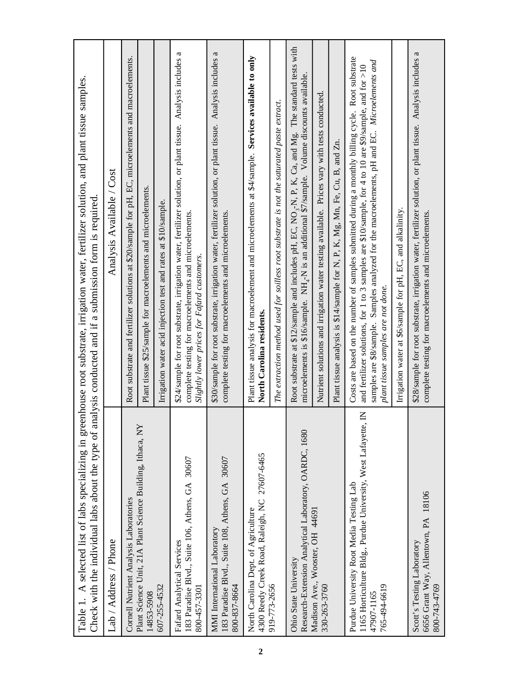| Check with the individual labs about the type of analysis conducted and if a submission form is required                                              | Table 1. A selected list of labs specializing in greenhouse root substrate, irrigation water, fertilizer solution, and plant tissue samples.                                                                                                                                                                                                     |
|-------------------------------------------------------------------------------------------------------------------------------------------------------|--------------------------------------------------------------------------------------------------------------------------------------------------------------------------------------------------------------------------------------------------------------------------------------------------------------------------------------------------|
| Lab / Address / Phone                                                                                                                                 | Analysis Available / Cost                                                                                                                                                                                                                                                                                                                        |
| Cornell Nutrient Analysis Laboratories                                                                                                                | Root substrate and fertilizer solutions at \$20/sample for pH, EC, microelements and macroelements.                                                                                                                                                                                                                                              |
| Plant Science Unit, 21A Plant Science Building, Ithaca, NY<br>14853-5908                                                                              | Plant tissue \$25/sample for macroelements and microelements.                                                                                                                                                                                                                                                                                    |
| 607-255-4532                                                                                                                                          | Irrigation water acid injection test and rates at \$10/sample.                                                                                                                                                                                                                                                                                   |
| 183 Paradise Blvd., Suite 106, Athens, GA 30607<br>Fafard Analytical Services<br>800-457-3301                                                         | \$24/sample for root substrate, irrigation water, fertilizer solution, or plant tissue. Analysis includes a<br>complete testing for macroelements and microelements.<br>Slightly lower prices for Fafard customers.                                                                                                                              |
| 183 Paradise Blvd., Suite 108, Athens, GA 30607<br><b>MMI</b> International Laboratory<br>800-837-8664                                                | \$30/sample for root substrate, irrigation water, fertilizer solution, or plant tissue. Analysis includes a<br>complete testing for macroelements and microelements.                                                                                                                                                                             |
| 4300 Reedy Creek Road, Raleigh, NC 27607-6465<br>North Carolina Dept. of Agriculture                                                                  | Plant tissue analysis for macroelement and microelements at \$4/sample. Services available to only<br>North Carolina residents.                                                                                                                                                                                                                  |
| 919-773-2656                                                                                                                                          | The extraction method used for soilless root substrate is not the saturated paste extract.                                                                                                                                                                                                                                                       |
| Research-Extension Analytical Laboratory, OARDC, 1680<br>Ohio State University                                                                        | Root substrate at \$12/sample and includes pH, EC, NO <sub>3</sub> -N, P, K, Ca, and Mg. The standard tests with<br>microelements is \$16/sample. NH <sub>4</sub> -N is an additional \$7/sample. Volume discounts available.                                                                                                                    |
| Madison Ave., Wooster, OH 44691<br>330-263-3760                                                                                                       | Nutrient solutions and irrigation water testing available. Prices vary with tests conducted.                                                                                                                                                                                                                                                     |
|                                                                                                                                                       | Plant tissue analysis is \$14/sample for N, P, K, Mg, Mn, Fe, Cu, B, and Zn.                                                                                                                                                                                                                                                                     |
| $\mathsf{K}$<br>1165 Horticulture Bldg., Purdue University, West Lafayette,<br>Purdue University Root Media Testing Lab<br>765-494-6619<br>47907-1165 | Costs are based on the number of samples submitted during a monthly billing cycle. Root substrate<br>samples are \$8/sample. Samples analyzed for the macroelements, pH and EC. Microelements and<br>and fertilizer solutions, for 1 to 3 samples are \$10/sample, for 4 to 10 are \$9/sample, and for >10<br>plant tissue samples are not done. |
|                                                                                                                                                       | Irrigation water at \$6/sample for pH, EC, and alkalinity.                                                                                                                                                                                                                                                                                       |
| 6656 Grant Way, Allentown, PA 18106<br>Scott's Testing Laboratory<br>800-743-4769                                                                     | \$28/sample for root substrate, irrigation water, fertilizer solution, or plant tissue. Analysis includes a<br>complete testing for macroelements and microelements.                                                                                                                                                                             |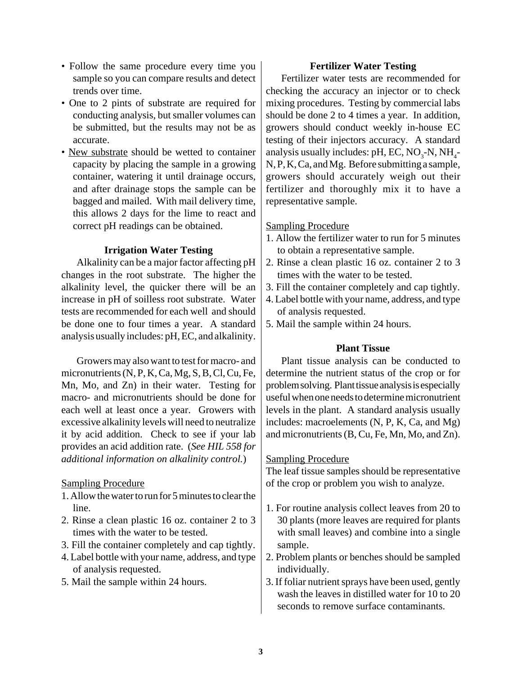- Follow the same procedure every time you sample so you can compare results and detect trends over time.
- One to 2 pints of substrate are required for conducting analysis, but smaller volumes can be submitted, but the results may not be as accurate.
- New substrate should be wetted to container capacity by placing the sample in a growing container, watering it until drainage occurs, and after drainage stops the sample can be bagged and mailed. With mail delivery time, this allows 2 days for the lime to react and correct pH readings can be obtained.

### **Irrigation Water Testing**

Alkalinity can be a major factor affecting pH changes in the root substrate. The higher the alkalinity level, the quicker there will be an increase in pH of soilless root substrate. Water tests are recommended for each well and should be done one to four times a year. A standard analysis usually includes: pH, EC, and alkalinity.

Growers may also want to test for macro- and micronutrients (N, P, K, Ca, Mg, S, B, Cl, Cu, Fe, Mn, Mo, and Zn) in their water. Testing for macro- and micronutrients should be done for each well at least once a year. Growers with excessive alkalinity levels will need to neutralize it by acid addition. Check to see if your lab provides an acid addition rate. (*See HIL 558 for additional information on alkalinity control.*)

#### Sampling Procedure

- 1. Allow the water to run for 5 minutes to clear the line.
- 2. Rinse a clean plastic 16 oz. container 2 to 3 times with the water to be tested.
- 3. Fill the container completely and cap tightly.
- 4. Label bottle with your name, address, and type of analysis requested.
- 5. Mail the sample within 24 hours.

#### **Fertilizer Water Testing**

Fertilizer water tests are recommended for checking the accuracy an injector or to check mixing procedures. Testing by commercial labs should be done 2 to 4 times a year. In addition, growers should conduct weekly in-house EC testing of their injectors accuracy. A standard analysis usually includes: pH, EC,  $NO_3$ -N,  $NH_4$ -N, P, K, Ca, and Mg. Before submitting a sample, growers should accurately weigh out their fertilizer and thoroughly mix it to have a representative sample.

### Sampling Procedure

- 1. Allow the fertilizer water to run for 5 minutes to obtain a representative sample.
- 2. Rinse a clean plastic 16 oz. container 2 to 3 times with the water to be tested.
- 3. Fill the container completely and cap tightly.
- 4. Label bottle with your name, address, and type of analysis requested.
- 5. Mail the sample within 24 hours.

## **Plant Tissue**

Plant tissue analysis can be conducted to determine the nutrient status of the crop or for problem solving. Plant tissue analysis is especially useful when one needs to determine micronutrient levels in the plant. A standard analysis usually includes: macroelements (N, P, K, Ca, and Mg) and micronutrients (B, Cu, Fe, Mn, Mo, and Zn).

## Sampling Procedure

The leaf tissue samples should be representative of the crop or problem you wish to analyze.

- 1. For routine analysis collect leaves from 20 to 30 plants (more leaves are required for plants with small leaves) and combine into a single sample.
- 2. Problem plants or benches should be sampled individually.
- 3. If foliar nutrient sprays have been used, gently wash the leaves in distilled water for 10 to 20 seconds to remove surface contaminants.